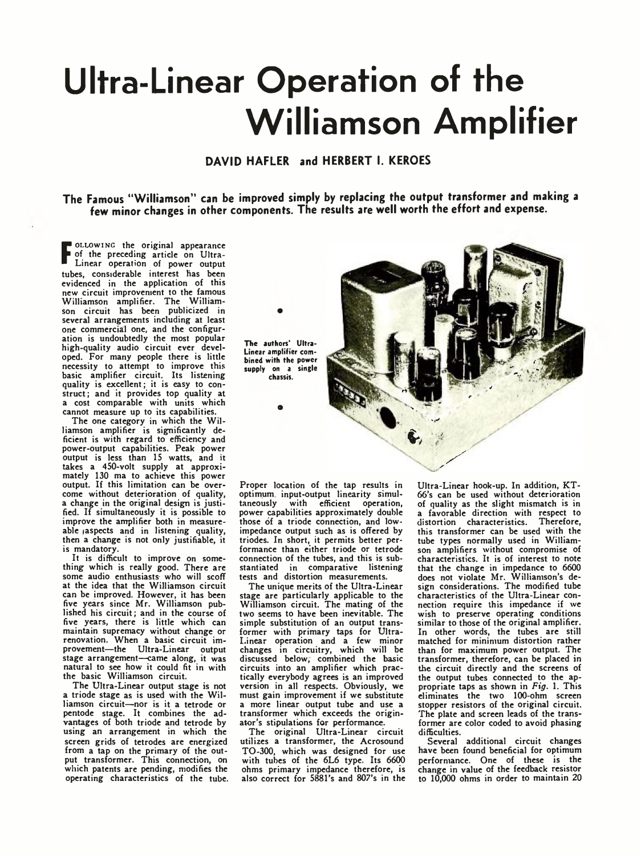## **Ultra-Linear Operation of the Williamson Amplifier**

**DAVID HAFLER and HERBERT I. KEROES**

**The Famous "Williamson" can be improved simply by replacing the output transformer and making a few minor changes in other components. The results are well worth the effort and expense.**

**F** Linear operation of power output OLLOWING the original appearance of the preceding article on Ultratubes, considerable interest has been evidenced in the application of this new circuit improvement to the famous Williamson amplifier. The Williamson circuit has been publicized in several arrangements including at least one commercial one, and the configuration is undoubtedly the most popular high-quality audio circuit ever developed. For many people there is little necessity to attempt to improve this basic amplifier circuit. Its listening quality is excellent; it is easy to construct; and it provides top quality at a cost comparable with units which cannot measure up to its capabilities.

The one category in which the Williamson amplifier is significantly de-ficient is with regard to efficiency and power-output capabilities. Peak power output is less than 15 watts, and it takes a 450-volt supply at approximately 130 ma to achieve this power output. If this limitation can be overcome without deterioration of quality, a change in the original design is justified. If simultaneously it is possible to improve the amplifier both in measureable *aspects* and in listening quality, then a change is not only justifiable, it is mandatory.

It is difficult to improve on something which is really good. There are some audio enthusiasts who will scoff at the idea that the Williamson circuit can be improved. However, it has been five years since Mr. Williamson published his circuit; and in the course of five years, there is little which can maintain supremacy without change or renovation. When a basic circuit improvement—the Ultra-Linear output stage arrangement—came along, it was natural to see how it could fit in with the basic Williamson circuit.

The Ultra-Linear output stage is not a triode stage as is used with the Williamson circuit—nor is it a tetrode or pentode stage. It combines the ad-vantages of both triode and tetrode by using an arrangement in which the screen grids of tetrodes are energized from a tap on the primary of the out-put transformer. This connection, on which patents are pending, modifies the operating characteristics of the tube.



Proper location of the tap results in optimum input-output linearity simul-<br>taneously with efficient operation, with efficient operation, power capabilities approximately double those of a triode connection, and lowimpedance output such as is offered by triodes. In short, it permits better performance than either triode or tetrode connection of the tubes, and this is substantiated in comparative listening tests and distortion measurements.

The unique merits of the Ultra-Linear stage are particularly applicable to the Williamson circuit. The mating of the two seems to have been inevitable. The simple substitution of an output transformer with primary taps for Ultra-Linear operation and a few minor changes in circuitry, which will be discussed below, combined the basic circuits into an amplifier which practically everybody agrees is an improved version in all respects. Obviously, we must gain improvement if we substitute a more linear output tube and use a transformer which exceeds the originator's stipulations for performance.

The original Ultra-Linear circuit utilizes a transformer, the Acrosound TO-300, which was designed for use with tubes of the 6L6 type. Its 6600 ohms primary impedance therefore, is also correct for 5881's and 807's in the

Ultra-Linear hook-up. In addition, KT-66's can be used without deterioration of quality as the slight mismatch is in a favorable direction with respect to distortion characteristics. Therefore, this transformer can be used with the tube types normally used in Williamson amplifiers without compromise of characteristics. It is of interest to note that the change in impedance to 6600 does not violate Mr. Williamson's de-sign considerations. The modified tube characteristics of the Ultra-Linear connection require this impedance if we wish to preserve operating conditions similar to those of the original amplifier. In other words, the tubes are still matched for minimum distortion rather than for maximum power output. The transformer, therefore, can be placed in the circuit directly and the screens of the output tubes connected to the appropriate taps as shown in *Fig.* 1. This eliminates the two 100-ohm screen stopper resistors of the original circuit. The plate and screen leads of the transformer are color coded to avoid phasing difficulties.

Several additional circuit changes have been found beneficial for optimum performance. One of these is the change in value of the feedback resistor to 10,000 ohms in order to maintain 20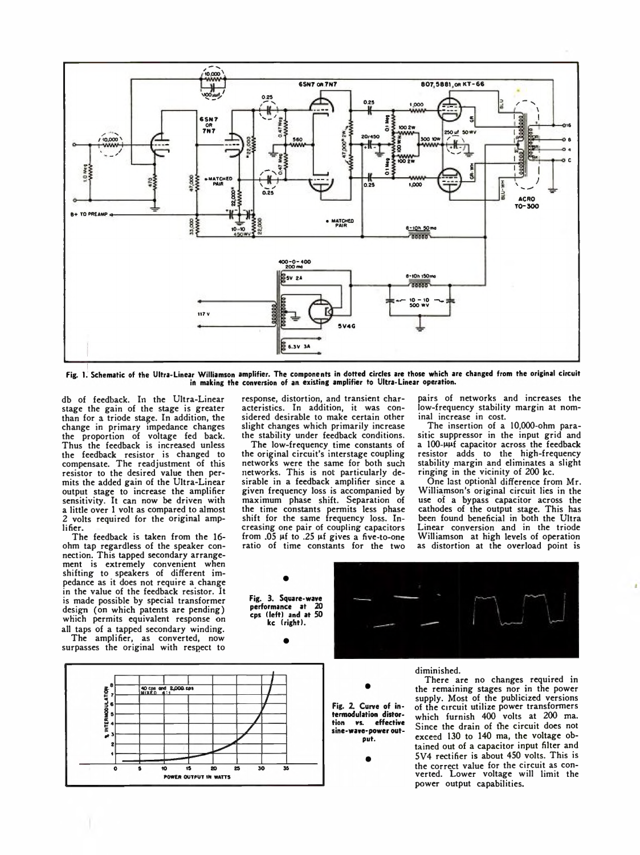

Fig. 1. Schematic of the Ultra-Linear Williamson amplifier. The components in dotted circles are those which are changed from the original circuit in making the conversion of an existing amplifier to Ultra-Linear operation.

db of feedback. In the Ultra-Linear stage the gain of the stage is greater than for a triode stage. In addition, the change in primary impedance changes the proportion of voltage fed back. Thus the feedback is increased unless the feedback resistor is changed to compensate. The readjustment of this resistor to the desired value then permits the added gain of the Ultra-Linear output stage to increase the amplifier sensitivity. It can now be driven with a little over 1 volt as compared to almost 2 volts required for the original amplifier.

The feedback is taken from the 16 ohm tap regardless of the speaker connection. This tapped secondary arrangement is extremely convenient when shifting to speakers of different impedance as it does not require a change in the value of the feedback resistor. It is made possible by special transformer design (on which patents are pending) which permits equivalent response on all taps of a tapped secondary winding.

The amplifier, as converted, now surpasses the original with respect to



response, distortion, and transient characteristics. In addition, it was considered desirable to make certain other slight changes which primarily increase the stability under feedback conditions.

The low-frequency time constants of the original circuit's interstage coupling networks were the same for both such networks. This is not particularly desirable in a feedback amplifier since a given frequency loss is accompanied by maximum phase shift. Separation of the time constants permits less phase shift for the same frequency loss. Increasing one pair of coupling capacitors from  $.05 \mu f$  to  $.25 \mu f$  gives a five-to-one ratio of time constants for the two

kc (right).

pairs of networks and increases the low-frequency stability margin at nominal increase in cost.

The insertion of a 10,000-ohm parasitic suppressor in the input grid and a 100-uuf capacitor across the feedback resistor adds to the high-frequency stability margin and eliminates a slight ringing in the vicinity of 200 kc.

One last optional difference from Mr. Williamson's original circuit lies in the use of a bypass capacitor across the cathodes of the output stage. This has been found beneficial in both the Ultra Linear conversion and in the triode Williamson at high levels of operation as distortion at the overload point is



diminished.

Fig. 2. Curve of intermodulation distorvs. effective tion sine-wave-power outout.

There are no changes required in the remaining stages nor in the power supply. Most of the publicized versions of the circuit utilize power transformers which furnish 400 volts at 200 ma. Since the drain of fhe circuit does not exceed 130 to 140 ma, the voltage obtained out of a capacitor input filter and 5V4 rectifier is about 450 volts. This is the correct value for the circuit as con-verted. Lower voltage will limit the power output capabilities.